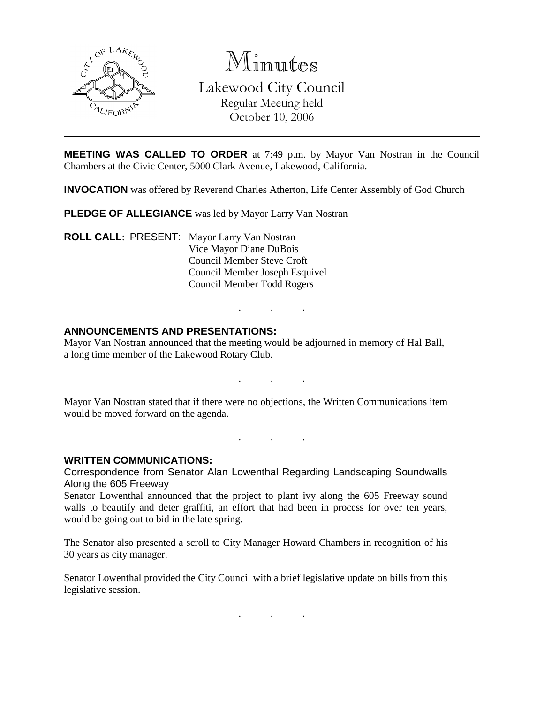

Minutes Lakewood City Council Regular Meeting held October 10, 2006

**MEETING WAS CALLED TO ORDER** at 7:49 p.m. by Mayor Van Nostran in the Council Chambers at the Civic Center, 5000 Clark Avenue, Lakewood, California.

**INVOCATION** was offered by Reverend Charles Atherton, Life Center Assembly of God Church

**PLEDGE OF ALLEGIANCE** was led by Mayor Larry Van Nostran

**ROLL CALL**: PRESENT: Mayor Larry Van Nostran Vice Mayor Diane DuBois Council Member Steve Croft Council Member Joseph Esquivel Council Member Todd Rogers

## **ANNOUNCEMENTS AND PRESENTATIONS:**

Mayor Van Nostran announced that the meeting would be adjourned in memory of Hal Ball, a long time member of the Lakewood Rotary Club.

. . .

. . .

Mayor Van Nostran stated that if there were no objections, the Written Communications item would be moved forward on the agenda.

. . .

**WRITTEN COMMUNICATIONS:**

Correspondence from Senator Alan Lowenthal Regarding Landscaping Soundwalls Along the 605 Freeway

Senator Lowenthal announced that the project to plant ivy along the 605 Freeway sound walls to beautify and deter graffiti, an effort that had been in process for over ten years, would be going out to bid in the late spring.

The Senator also presented a scroll to City Manager Howard Chambers in recognition of his 30 years as city manager.

Senator Lowenthal provided the City Council with a brief legislative update on bills from this legislative session.

. . .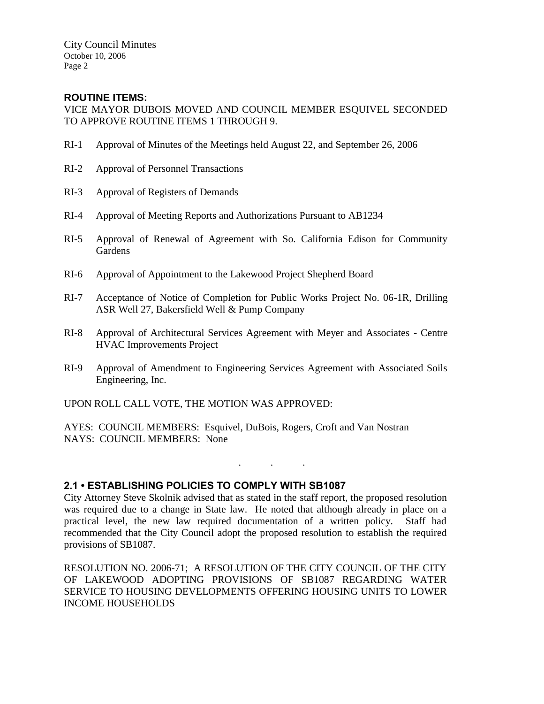City Council Minutes October 10, 2006 Page 2

## **ROUTINE ITEMS:**

VICE MAYOR DUBOIS MOVED AND COUNCIL MEMBER ESQUIVEL SECONDED TO APPROVE ROUTINE ITEMS 1 THROUGH 9.

- RI-1 Approval of Minutes of the Meetings held August 22, and September 26, 2006
- RI-2 Approval of Personnel Transactions
- RI-3 Approval of Registers of Demands
- RI-4 Approval of Meeting Reports and Authorizations Pursuant to AB1234
- RI-5 Approval of Renewal of Agreement with So. California Edison for Community Gardens
- RI-6 Approval of Appointment to the Lakewood Project Shepherd Board
- RI-7 Acceptance of Notice of Completion for Public Works Project No. 06-1R, Drilling ASR Well 27, Bakersfield Well & Pump Company
- RI-8 Approval of Architectural Services Agreement with Meyer and Associates Centre HVAC Improvements Project
- RI-9 Approval of Amendment to Engineering Services Agreement with Associated Soils Engineering, Inc.

UPON ROLL CALL VOTE, THE MOTION WAS APPROVED:

AYES: COUNCIL MEMBERS: Esquivel, DuBois, Rogers, Croft and Van Nostran NAYS: COUNCIL MEMBERS: None

## **2.1 • ESTABLISHING POLICIES TO COMPLY WITH SB1087**

City Attorney Steve Skolnik advised that as stated in the staff report, the proposed resolution was required due to a change in State law. He noted that although already in place on a practical level, the new law required documentation of a written policy. Staff had recommended that the City Council adopt the proposed resolution to establish the required provisions of SB1087.

. . .

RESOLUTION NO. 2006-71; A RESOLUTION OF THE CITY COUNCIL OF THE CITY OF LAKEWOOD ADOPTING PROVISIONS OF SB1087 REGARDING WATER SERVICE TO HOUSING DEVELOPMENTS OFFERING HOUSING UNITS TO LOWER INCOME HOUSEHOLDS